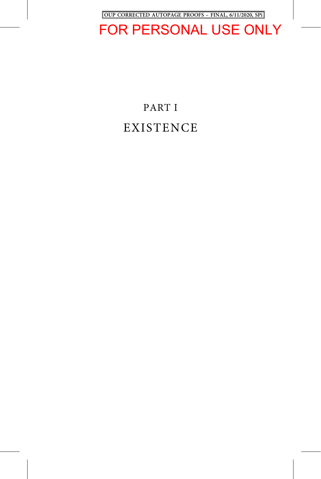FOR PERSONAL USE ONLY

# PART I EXISTENCE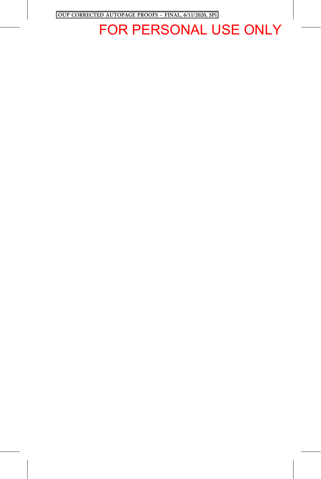# FOR PERSONAL USE ONLY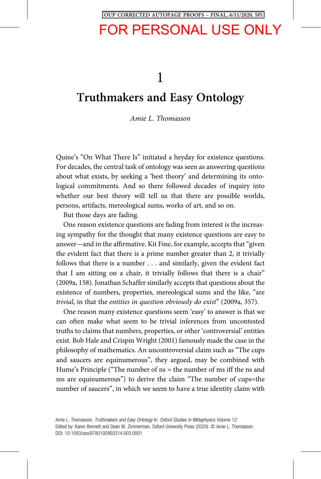1

## **Truthmakers and Easy Ontology**

Amie L. Thomasson

Quine's "On What There Is" initiated a heyday for existence questions. For decades, the central task of ontology was seen as answering questions about what exists, by seeking a 'best theory' and determining its ontological commitments. And so there followed decades of inquiry into whether our best theory will tell us that there are possible worlds, persons, artifacts, mereological sums, works of art, and so on.

But those days are fading.

One reason existence questions are fading from interest is the increasing sympathy for the thought that many existence questions are easy to answer—and in the affirmative. Kit Fine, for example, accepts that "given the evident fact that there is a prime number greater than 2, it trivially follows that there is a number . . . and similarly, given the evident fact that I am sitting on a chair, it trivially follows that there is a chair" (2009a, 158). Jonathan Schaffer similarly accepts that questions about the existence of numbers, properties, mereological sums and the like, "are trivial, in that the entities in question obviously do exist" (2009a, 357).

One reason many existence questions seem 'easy' to answer is that we can often make what seem to be trivial inferences from uncontested truths to claims that numbers, properties, or other 'controversial' entities exist. Bob Hale and Crispin Wright (2001) famously made the case in the philosophy of mathematics. An uncontroversial claim such as "The cups and saucers are equinumerous", they argued, may be combined with Hume's Principle ("The number of ns = the number of ms iff the ns and ms are equinumerous") to derive the claim "The number of cups=the number of saucers", in which we seem to have a true identity claim with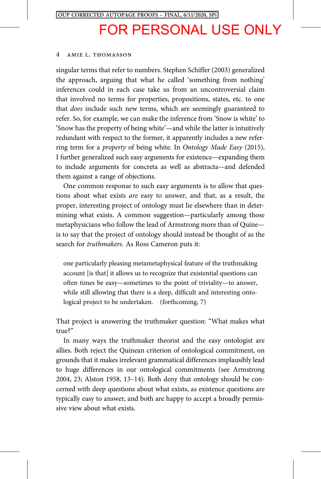#### 4 AMIE L. THOMASSON

singular terms that refer to numbers. Stephen Schiffer (2003) generalized the approach, arguing that what he called 'something from nothing' inferences could in each case take us from an uncontroversial claim that involved no terms for properties, propositions, states, etc. to one that does include such new terms, which are seemingly guaranteed to refer. So, for example, we can make the inference from 'Snow is white' to 'Snow has the property of being white'—and while the latter is intuitively redundant with respect to the former, it apparently includes a new referring term for a property of being white. In Ontology Made Easy (2015), I further generalized such easy arguments for existence—expanding them to include arguments for concreta as well as abstracta—and defended them against a range of objections.

One common response to such easy arguments is to allow that questions about what exists are easy to answer, and that, as a result, the proper, interesting project of ontology must lie elsewhere than in determining what exists. A common suggestion—particularly among those metaphysicians who follow the lead of Armstrong more than of Quine is to say that the project of ontology should instead be thought of as the search for truthmakers. As Ross Cameron puts it:

one particularly pleasing metametaphysical feature of the truthmaking account [is that] it allows us to recognize that existential questions can often times be easy—sometimes to the point of triviality—to answer, while still allowing that there is a deep, difficult and interesting ontological project to be undertaken. (forthcoming, 7)

That project is answering the truthmaker question: "What makes what true?"

In many ways the truthmaker theorist and the easy ontologist are allies. Both reject the Quinean criterion of ontological commitment, on grounds that it makes irrelevant grammatical differences implausibly lead to huge differences in our ontological commitments (see Armstrong 2004, 23; Alston 1958, 13–14). Both deny that ontology should be concerned with deep questions about what exists, as existence questions are typically easy to answer, and both are happy to accept a broadly permissive view about what exists.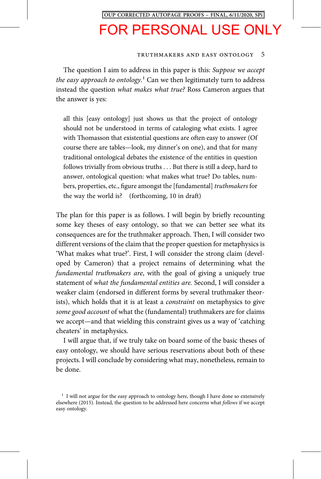# FOR PERSONAL USE ONLY

### TRUTHMAKERS AND EASY ONTOLOGY 5

The question I aim to address in this paper is this: Suppose we accept the easy approach to ontology.<sup>1</sup> Can we then legitimately turn to address instead the question what makes what true? Ross Cameron argues that the answer is yes:

all this [easy ontology] just shows us that the project of ontology should not be understood in terms of cataloging what exists. I agree with Thomasson that existential questions are often easy to answer (Of course there are tables—look, my dinner's on one), and that for many traditional ontological debates the existence of the entities in question follows trivially from obvious truths . . . But there is still a deep, hard to answer, ontological question: what makes what true? Do tables, numbers, properties, etc., figure amongst the [fundamental] truthmakers for the way the world is? (forthcoming, 10 in draft)

The plan for this paper is as follows. I will begin by briefly recounting some key theses of easy ontology, so that we can better see what its consequences are for the truthmaker approach. Then, I will consider two different versions of the claim that the proper question for metaphysics is 'What makes what true?'. First, I will consider the strong claim (developed by Cameron) that a project remains of determining what the fundamental truthmakers are, with the goal of giving a uniquely true statement of what the fundamental entities are. Second, I will consider a weaker claim (endorsed in different forms by several truthmaker theorists), which holds that it is at least a constraint on metaphysics to give some good account of what the (fundamental) truthmakers are for claims we accept—and that wielding this constraint gives us a way of 'catching cheaters' in metaphysics.

I will argue that, if we truly take on board some of the basic theses of easy ontology, we should have serious reservations about both of these projects. I will conclude by considering what may, nonetheless, remain to be done.

 $<sup>1</sup>$  I will not argue for the easy approach to ontology here, though I have done so extensively</sup> elsewhere (2015). Instead, the question to be addressed here concerns what follows if we accept easy ontology.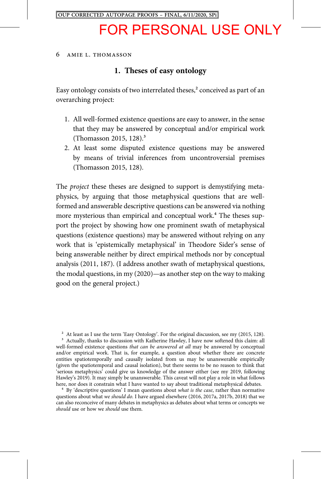### 6 AMIE L. THOMASSON

### **1. Theses of easy ontology**

Easy ontology consists of two interrelated theses,<sup>2</sup> conceived as part of an overarching project:

- 1. All well-formed existence questions are easy to answer, in the sense that they may be answered by conceptual and/or empirical work (Thomasson 2015, 128).³
- 2. At least some disputed existence questions may be answered by means of trivial inferences from uncontroversial premises (Thomasson 2015, 128).

The project these theses are designed to support is demystifying metaphysics, by arguing that those metaphysical questions that are wellformed and answerable descriptive questions can be answered via nothing more mysterious than empirical and conceptual work.<sup>4</sup> The theses support the project by showing how one prominent swath of metaphysical questions (existence questions) may be answered without relying on any work that is 'epistemically metaphysical' in Theodore Sider's sense of being answerable neither by direct empirical methods nor by conceptual analysis (2011, 187). (I address another swath of metaphysical questions, the modal questions, in my (2020)—as another step on the way to making good on the general project.)

<sup>2</sup> At least as I use the term 'Easy Ontology'. For the original discussion, see my (2015, 128). <sup>3</sup> Actually, thanks to discussion with Katherine Hawley, I have now softened this claim: all well-formed existence questions that can be answered at all may be answered by conceptual and/or empirical work. That is, for example, a question about whether there are concrete entities spatiotemporally and causally isolated from us may be unanswerable empirically (given the spatiotemporal and causal isolation), but there seems to be no reason to think that 'serious metaphysics' could give us knowledge of the answer either (see my 2019, following Hawley's 2019). It may simply be unanswerable. This caveat will not play a role in what follows here, nor does it constrain what I have wanted to say about traditional metaphysical debates.

<sup>4</sup> By 'descriptive questions' I mean questions about what is the case, rather than normative questions about what we should do. I have argued elsewhere (2016, 2017a, 2017b, 2018) that we can also reconceive of many debates in metaphysics as debates about what terms or concepts we should use or how we should use them.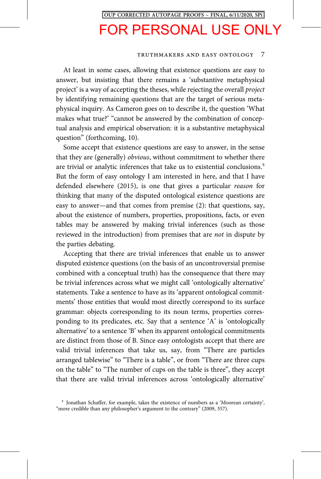# FOR PERSONAL USE ONLY

### TRUTHMAKERS AND EASY ONTOLOGY 7

At least in some cases, allowing that existence questions are easy to answer, but insisting that there remains a 'substantive metaphysical project' is a way of accepting the theses, while rejecting the overall project by identifying remaining questions that are the target of serious metaphysical inquiry. As Cameron goes on to describe it, the question 'What makes what true?' "cannot be answered by the combination of conceptual analysis and empirical observation: it is a substantive metaphysical question" (forthcoming, 10).

Some accept that existence questions are easy to answer, in the sense that they are (generally) obvious, without commitment to whether there are trivial or analytic inferences that take us to existential conclusions.<sup>5</sup> But the form of easy ontology I am interested in here, and that I have defended elsewhere (2015), is one that gives a particular reason for thinking that many of the disputed ontological existence questions are easy to answer—and that comes from premise (2): that questions, say, about the existence of numbers, properties, propositions, facts, or even tables may be answered by making trivial inferences (such as those reviewed in the introduction) from premises that are not in dispute by the parties debating.

Accepting that there are trivial inferences that enable us to answer disputed existence questions (on the basis of an uncontroversial premise combined with a conceptual truth) has the consequence that there may be trivial inferences across what we might call 'ontologically alternative' statements. Take a sentence to have as its 'apparent ontological commitments' those entities that would most directly correspond to its surface grammar: objects corresponding to its noun terms, properties corresponding to its predicates, etc. Say that a sentence 'A' is 'ontologically alternative' to a sentence 'B' when its apparent ontological commitments are distinct from those of B. Since easy ontologists accept that there are valid trivial inferences that take us, say, from "There are particles arranged tablewise" to "There is a table", or from "There are three cups on the table" to "The number of cups on the table is three", they accept that there are valid trivial inferences across 'ontologically alternative'

⁵ Jonathan Schaffer, for example, takes the existence of numbers as a 'Moorean certainty', "more credible than any philosopher's argument to the contrary" (2009, 357).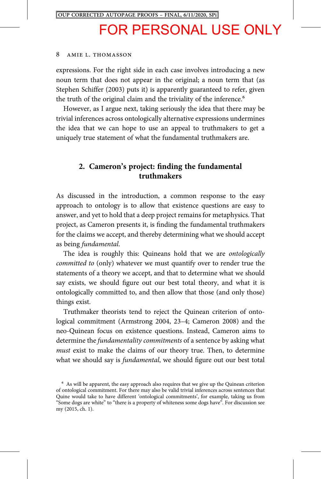### 8 AMIE L. THOMASSON

expressions. For the right side in each case involves introducing a new noun term that does not appear in the original; a noun term that (as Stephen Schiffer (2003) puts it) is apparently guaranteed to refer, given the truth of the original claim and the triviality of the inference.<sup>6</sup>

However, as I argue next, taking seriously the idea that there may be trivial inferences across ontologically alternative expressions undermines the idea that we can hope to use an appeal to truthmakers to get a uniquely true statement of what the fundamental truthmakers are.

### **2. Cameron's project: finding the fundamental truthmakers**

As discussed in the introduction, a common response to the easy approach to ontology is to allow that existence questions are easy to answer, and yet to hold that a deep project remains for metaphysics. That project, as Cameron presents it, is finding the fundamental truthmakers for the claims we accept, and thereby determining what we should accept as being fundamental.

The idea is roughly this: Quineans hold that we are ontologically committed to (only) whatever we must quantify over to render true the statements of a theory we accept, and that to determine what we should say exists, we should figure out our best total theory, and what it is ontologically committed to, and then allow that those (and only those) things exist.

Truthmaker theorists tend to reject the Quinean criterion of ontological commitment (Armstrong 2004, 23–4; Cameron 2008) and the neo-Quinean focus on existence questions. Instead, Cameron aims to determine the fundamentality commitments of a sentence by asking what must exist to make the claims of our theory true. Then, to determine what we should say is *fundamental*, we should figure out our best total

⁶ As will be apparent, the easy approach also requires that we give up the Quinean criterion of ontological commitment. For there may also be valid trivial inferences across sentences that Quine would take to have different 'ontological commitments', for example, taking us from "Some dogs are white" to "there is a property of whiteness some dogs have". For discussion see my (2015, ch. 1).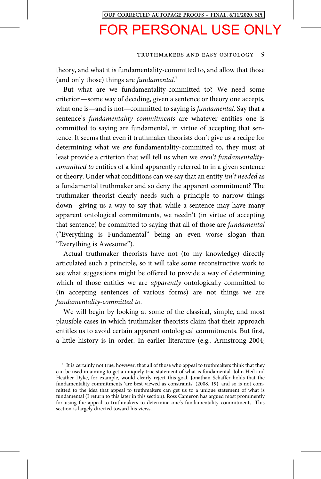# FOR PERSONAL USE ONLY

#### TRUTHMAKERS AND EASY ONTOLOGY 9

theory, and what it is fundamentality-committed to, and allow that those (and only those) things are *fundamental*.<sup>7</sup>

But what are we fundamentality-committed to? We need some criterion—some way of deciding, given a sentence or theory one accepts, what one is—and is not—committed to saying is fundamental. Say that a sentence's fundamentality commitments are whatever entities one is committed to saying are fundamental, in virtue of accepting that sentence. It seems that even if truthmaker theorists don't give us a recipe for determining what we are fundamentality-committed to, they must at least provide a criterion that will tell us when we aren't fundamentalitycommitted to entities of a kind apparently referred to in a given sentence or theory. Under what conditions can we say that an entity isn't needed as a fundamental truthmaker and so deny the apparent commitment? The truthmaker theorist clearly needs such a principle to narrow things down—giving us a way to say that, while a sentence may have many apparent ontological commitments, we needn't (in virtue of accepting that sentence) be committed to saying that all of those are fundamental ("Everything is Fundamental" being an even worse slogan than "Everything is Awesome").

Actual truthmaker theorists have not (to my knowledge) directly articulated such a principle, so it will take some reconstructive work to see what suggestions might be offered to provide a way of determining which of those entities we are *apparently* ontologically committed to (in accepting sentences of various forms) are not things we are fundamentality-committed to.

We will begin by looking at some of the classical, simple, and most plausible cases in which truthmaker theorists claim that their approach entitles us to avoid certain apparent ontological commitments. But first, a little history is in order. In earlier literature (e.g., Armstrong 2004;

 $\frac{7}{1}$  It is certainly not true, however, that all of those who appeal to truthmakers think that they can be used in aiming to get a uniquely true statement of what is fundamental. John Heil and Heather Dyke, for example, would clearly reject this goal. Jonathan Schaffer holds that the fundamentality commitments 'are best viewed as constraints' (2008, 19), and so is not committed to the idea that appeal to truthmakers can get us to a unique statement of what is fundamental (I return to this later in this section). Ross Cameron has argued most prominently for using the appeal to truthmakers to determine one's fundamentality commitments. This section is largely directed toward his views.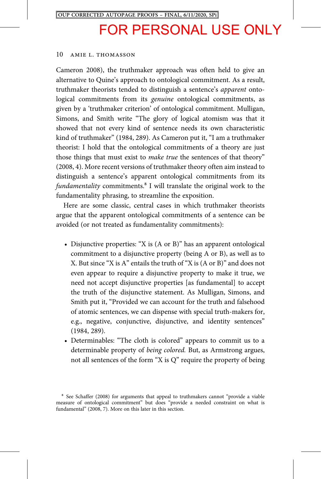### 10 AMIE L. THOMASSON

Cameron 2008), the truthmaker approach was often held to give an alternative to Quine's approach to ontological commitment. As a result, truthmaker theorists tended to distinguish a sentence's apparent ontological commitments from its genuine ontological commitments, as given by a 'truthmaker criterion' of ontological commitment. Mulligan, Simons, and Smith write "The glory of logical atomism was that it showed that not every kind of sentence needs its own characteristic kind of truthmaker" (1984, 289). As Cameron put it, "I am a truthmaker theorist: I hold that the ontological commitments of a theory are just those things that must exist to make true the sentences of that theory" (2008, 4). More recent versions of truthmaker theory often aim instead to distinguish a sentence's apparent ontological commitments from its fundamentality commitments. $8$  I will translate the original work to the fundamentality phrasing, to streamline the exposition.

Here are some classic, central cases in which truthmaker theorists argue that the apparent ontological commitments of a sentence can be avoided (or not treated as fundamentality commitments):

- Disjunctive properties: "X is (A or B)" has an apparent ontological commitment to a disjunctive property (being A or B), as well as to X. But since "X is A" entails the truth of "X is (A or B)" and does not even appear to require a disjunctive property to make it true, we need not accept disjunctive properties [as fundamental] to accept the truth of the disjunctive statement. As Mulligan, Simons, and Smith put it, "Provided we can account for the truth and falsehood of atomic sentences, we can dispense with special truth-makers for, e.g., negative, conjunctive, disjunctive, and identity sentences" (1984, 289).
- Determinables: "The cloth is colored" appears to commit us to a determinable property of being colored. But, as Armstrong argues, not all sentences of the form "X is Q" require the property of being

⁸ See Schaffer (2008) for arguments that appeal to truthmakers cannot "provide a viable measure of ontological commitment" but does "provide a needed constraint on what is fundamental" (2008, 7). More on this later in this section.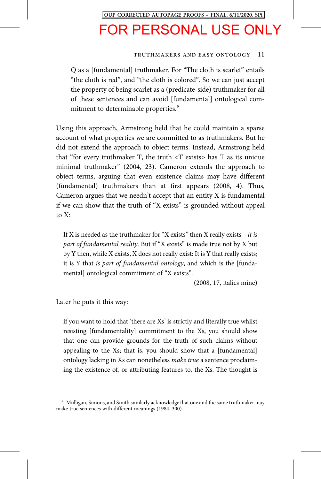# FOR PERSONAL USE ONLY

### TRUTHMAKERS AND EASY ONTOLOGY 11

Q as a [fundamental] truthmaker. For "The cloth is scarlet" entails "the cloth is red", and "the cloth is colored". So we can just accept the property of being scarlet as a (predicate-side) truthmaker for all of these sentences and can avoid [fundamental] ontological commitment to determinable properties.<sup>9</sup>

Using this approach, Armstrong held that he could maintain a sparse account of what properties we are committed to as truthmakers. But he did not extend the approach to object terms. Instead, Armstrong held that "for every truthmaker T, the truth  $\langle T \rangle$  exists has T as its unique minimal truthmaker" (2004, 23). Cameron extends the approach to object terms, arguing that even existence claims may have different (fundamental) truthmakers than at first appears (2008, 4). Thus, Cameron argues that we needn't accept that an entity X is fundamental if we can show that the truth of "X exists" is grounded without appeal to X:

If X is needed as the truthmaker for "X exists" then X really exists—it is part of fundamental reality. But if "X exists" is made true not by X but by Y then, while X exists, X does not really exist: It is Y that really exists; it is Y that is part of fundamental ontology, and which is the [fundamental] ontological commitment of "X exists".

(2008, 17, italics mine)

Later he puts it this way:

if you want to hold that 'there are Xs' is strictly and literally true whilst resisting [fundamentality] commitment to the Xs, you should show that one can provide grounds for the truth of such claims without appealing to the Xs; that is, you should show that a [fundamental] ontology lacking in Xs can nonetheless make true a sentence proclaiming the existence of, or attributing features to, the Xs. The thought is

⁹ Mulligan, Simons, and Smith similarly acknowledge that one and the same truthmaker may make true sentences with different meanings (1984, 300).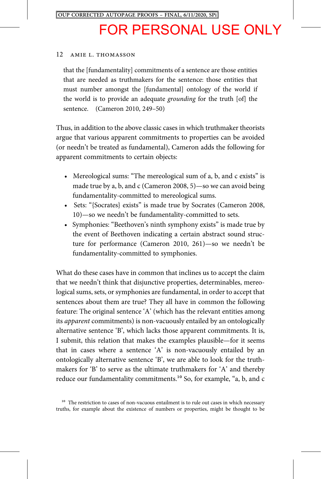### 12 AMIE L. THOMASSON

that the [fundamentality] commitments of a sentence are those entities that are needed as truthmakers for the sentence: those entities that must number amongst the [fundamental] ontology of the world if the world is to provide an adequate grounding for the truth [of] the sentence. (Cameron 2010, 249–50)

Thus, in addition to the above classic cases in which truthmaker theorists argue that various apparent commitments to properties can be avoided (or needn't be treated as fundamental), Cameron adds the following for apparent commitments to certain objects:

- Mereological sums: "The mereological sum of a, b, and c exists" is made true by a, b, and c (Cameron 2008, 5)—so we can avoid being fundamentality-committed to mereological sums.
- Sets: "{Socrates} exists" is made true by Socrates (Cameron 2008, 10)—so we needn't be fundamentality-committed to sets.
- Symphonies: "Beethoven's ninth symphony exists" is made true by the event of Beethoven indicating a certain abstract sound structure for performance (Cameron 2010, 261)—so we needn't be fundamentality-committed to symphonies.

What do these cases have in common that inclines us to accept the claim that we needn't think that disjunctive properties, determinables, mereological sums, sets, or symphonies are fundamental, in order to accept that sentences about them are true? They all have in common the following feature: The original sentence 'A' (which has the relevant entities among its apparent commitments) is non-vacuously entailed by an ontologically alternative sentence 'B', which lacks those apparent commitments. It is, I submit, this relation that makes the examples plausible—for it seems that in cases where a sentence 'A' is non-vacuously entailed by an ontologically alternative sentence 'B', we are able to look for the truthmakers for 'B' to serve as the ultimate truthmakers for 'A' and thereby reduce our fundamentality commitments.<sup>10</sup> So, for example, "a, b, and c

<sup>&</sup>lt;sup>10</sup> The restriction to cases of non-vacuous entailment is to rule out cases in which necessary truths, for example about the existence of numbers or properties, might be thought to be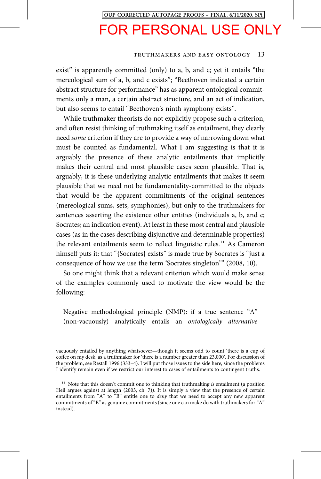# FOR PERSONAL USE ONLY

### TRUTHMAKERS AND EASY ONTOLOGY 13

exist" is apparently committed (only) to a, b, and c; yet it entails "the mereological sum of a, b, and c exists"; "Beethoven indicated a certain abstract structure for performance" has as apparent ontological commitments only a man, a certain abstract structure, and an act of indication, but also seems to entail "Beethoven's ninth symphony exists".

While truthmaker theorists do not explicitly propose such a criterion, and often resist thinking of truthmaking itself as entailment, they clearly need some criterion if they are to provide a way of narrowing down what must be counted as fundamental. What I am suggesting is that it is arguably the presence of these analytic entailments that implicitly makes their central and most plausible cases seem plausible. That is, arguably, it is these underlying analytic entailments that makes it seem plausible that we need not be fundamentality-committed to the objects that would be the apparent commitments of the original sentences (mereological sums, sets, symphonies), but only to the truthmakers for sentences asserting the existence other entities (individuals a, b, and c; Socrates; an indication event). At least in these most central and plausible cases (as in the cases describing disjunctive and determinable properties) the relevant entailments seem to reflect linguistic rules.<sup>11</sup> As Cameron himself puts it: that "{Socrates} exists" is made true by Socrates is "just a consequence of how we use the term 'Socrates singleton'" (2008, 10).

So one might think that a relevant criterion which would make sense of the examples commonly used to motivate the view would be the following:

Negative methodological principle (NMP): if a true sentence "A" (non-vacuously) analytically entails an ontologically alternative

vacuously entailed by anything whatsoever—though it seems odd to count 'there is a cup of coffee on my desk' as a truthmaker for 'there is a number greater than 23,000'. For discussion of the problem, see Restall 1996 (333–4). I will put those issues to the side here, since the problems I identify remain even if we restrict our interest to cases of entailments to contingent truths.

 $11$  Note that this doesn't commit one to thinking that truthmaking is entailment (a position Heil argues against at length (2003, ch. 7)). It is simply a view that the presence of certain entailments from "A" to "B" entitle one to *deny* that we need to accept any new apparent commitments of "B" as genuine commitments (since one can make do with truthmakers for "A" instead).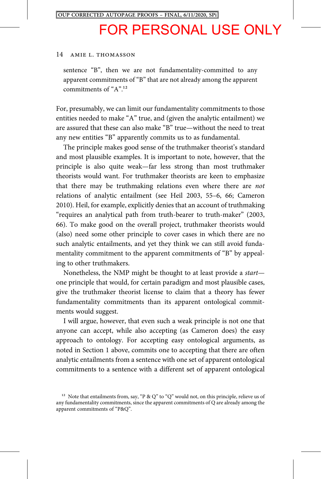### 14 AMIE L. THOMASSON

sentence "B", then we are not fundamentality-committed to any apparent commitments of "B" that are not already among the apparent commitments of " $A$ ".<sup>12</sup>

For, presumably, we can limit our fundamentality commitments to those entities needed to make "A" true, and (given the analytic entailment) we are assured that these can also make "B" true—without the need to treat any new entities "B" apparently commits us to as fundamental.

The principle makes good sense of the truthmaker theorist's standard and most plausible examples. It is important to note, however, that the principle is also quite weak—far less strong than most truthmaker theorists would want. For truthmaker theorists are keen to emphasize that there may be truthmaking relations even where there are not relations of analytic entailment (see Heil 2003, 55–6, 66; Cameron 2010). Heil, for example, explicitly denies that an account of truthmaking "requires an analytical path from truth-bearer to truth-maker" (2003, 66). To make good on the overall project, truthmaker theorists would (also) need some other principle to cover cases in which there are no such analytic entailments, and yet they think we can still avoid fundamentality commitment to the apparent commitments of "B" by appealing to other truthmakers.

Nonetheless, the NMP might be thought to at least provide a start one principle that would, for certain paradigm and most plausible cases, give the truthmaker theorist license to claim that a theory has fewer fundamentality commitments than its apparent ontological commitments would suggest.

I will argue, however, that even such a weak principle is not one that anyone can accept, while also accepting (as Cameron does) the easy approach to ontology. For accepting easy ontological arguments, as noted in Section 1 above, commits one to accepting that there are often analytic entailments from a sentence with one set of apparent ontological commitments to a sentence with a different set of apparent ontological

<sup>&</sup>lt;sup>12</sup> Note that entailments from, say, "P & Q" to "Q" would not, on this principle, relieve us of any fundamentality commitments, since the apparent commitments of Q are already among the apparent commitments of "P&Q".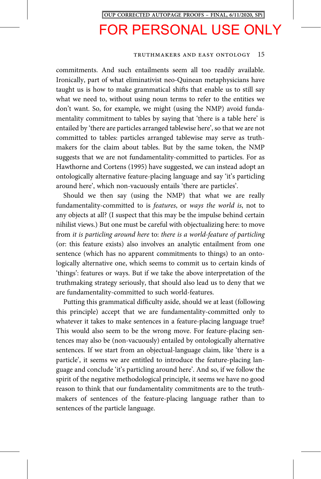### TRUTHMAKERS AND EASY ONTOLOGY 15

commitments. And such entailments seem all too readily available. Ironically, part of what eliminativist neo-Quinean metaphysicians have taught us is how to make grammatical shifts that enable us to still say what we need to, without using noun terms to refer to the entities we don't want. So, for example, we might (using the NMP) avoid fundamentality commitment to tables by saying that 'there is a table here' is entailed by 'there are particles arranged tablewise here', so that we are not committed to tables: particles arranged tablewise may serve as truthmakers for the claim about tables. But by the same token, the NMP suggests that we are not fundamentality-committed to particles. For as Hawthorne and Cortens (1995) have suggested, we can instead adopt an ontologically alternative feature-placing language and say 'it's particling around here', which non-vacuously entails 'there are particles'.

Should we then say (using the NMP) that what we are really fundamentality-committed to is features, or ways the world is, not to any objects at all? (I suspect that this may be the impulse behind certain nihilist views.) But one must be careful with objectualizing here: to move from it is particling around here to: there is a world-feature of particling (or: this feature exists) also involves an analytic entailment from one sentence (which has no apparent commitments to things) to an ontologically alternative one, which seems to commit us to certain kinds of 'things': features or ways. But if we take the above interpretation of the truthmaking strategy seriously, that should also lead us to deny that we are fundamentality-committed to such world-features.

Putting this grammatical difficulty aside, should we at least (following this principle) accept that we are fundamentality-committed only to whatever it takes to make sentences in a feature-placing language true? This would also seem to be the wrong move. For feature-placing sentences may also be (non-vacuously) entailed by ontologically alternative sentences. If we start from an objectual-language claim, like 'there is a particle', it seems we are entitled to introduce the feature-placing language and conclude 'it's particling around here'. And so, if we follow the spirit of the negative methodological principle, it seems we have no good reason to think that our fundamentality commitments are to the truthmakers of sentences of the feature-placing language rather than to sentences of the particle language.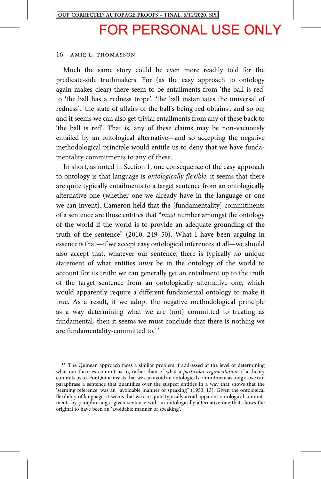### 16 AMIE L. THOMASSON

Much the same story could be even more readily told for the predicate-side truthmakers. For (as the easy approach to ontology again makes clear) there seem to be entailments from 'the ball is red' to 'the ball has a redness trope', 'the ball instantiates the universal of redness', 'the state of affairs of the ball's being red obtains', and so on; and it seems we can also get trivial entailments from any of these back to 'the ball is red'. That is, any of these claims may be non-vacuously entailed by an ontological alternative—and so accepting the negative methodological principle would entitle us to deny that we have fundamentality commitments to any of these.

In short, as noted in Section 1, one consequence of the easy approach to ontology is that language is ontologically flexible: it seems that there are quite typically entailments to a target sentence from an ontologically alternative one (whether one we already have in the language or one we can invent). Cameron held that the [fundamentality] commitments of a sentence are those entities that "must number amongst the ontology of the world if the world is to provide an adequate grounding of the truth of the sentence" (2010, 249–50). What I have been arguing in essence is that—if we accept easy ontological inferences at all—we should also accept that, whatever our sentence, there is typically no unique statement of what entities must be in the ontology of the world to account for its truth: we can generally get an entailment up to the truth of the target sentence from an ontologically alternative one, which would apparently require a different fundamental ontology to make it true. As a result, if we adopt the negative methodological principle as a way determining what we are (not) committed to treating as fundamental, then it seems we must conclude that there is nothing we are fundamentality-committed to.<sup>13</sup>

<sup>&</sup>lt;sup>13</sup> The Quinean approach faces a similar problem if addressed at the level of determining what our theories commit us to, rather than of what a *particular regimentation* of a theory commits us to. For Quine insists that we can avoid an ontological commitment as long as we can paraphrase a sentence that quantifies over the suspect entities in a way that shows that the 'seeming reference' was an "avoidable manner of speaking" (1953, 13). Given the ontological flexibility of language, it seems that we can quite typically avoid apparent ontological commitments by paraphrasing a given sentence with an ontologically alternative one that shows the original to have been an 'avoidable manner of speaking'.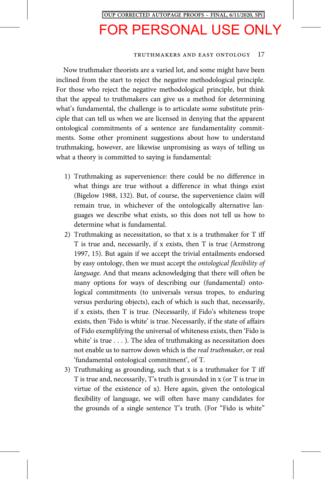# FOR PERSONAL USE ONLY

### TRUTHMAKERS AND EASY ONTOLOGY 17

Now truthmaker theorists are a varied lot, and some might have been inclined from the start to reject the negative methodological principle. For those who reject the negative methodological principle, but think that the appeal to truthmakers can give us a method for determining what's fundamental, the challenge is to articulate some substitute principle that can tell us when we are licensed in denying that the apparent ontological commitments of a sentence are fundamentality commitments. Some other prominent suggestions about how to understand truthmaking, however, are likewise unpromising as ways of telling us what a theory is committed to saying is fundamental:

- 1) Truthmaking as supervenience: there could be no difference in what things are true without a difference in what things exist (Bigelow 1988, 132). But, of course, the supervenience claim will remain true, in whichever of the ontologically alternative languages we describe what exists, so this does not tell us how to determine what is fundamental.
- 2) Truthmaking as necessitation, so that x is a truthmaker for T iff T is true and, necessarily, if x exists, then T is true (Armstrong 1997, 15). But again if we accept the trivial entailments endorsed by easy ontology, then we must accept the ontological flexibility of language. And that means acknowledging that there will often be many options for ways of describing our (fundamental) ontological commitments (to universals versus tropes, to enduring versus perduring objects), each of which is such that, necessarily, if x exists, then T is true. (Necessarily, if Fido's whiteness trope exists, then 'Fido is white' is true. Necessarily, if the state of affairs of Fido exemplifying the universal of whiteness exists, then 'Fido is white' is true . . . ). The idea of truthmaking as necessitation does not enable us to narrow down which is the real truthmaker, or real 'fundamental ontological commitment', of T.
- 3) Truthmaking as grounding, such that x is a truthmaker for T iff T is true and, necessarily, T's truth is grounded in x (or T is true in virtue of the existence of x). Here again, given the ontological flexibility of language, we will often have many candidates for the grounds of a single sentence T's truth. (For "Fido is white"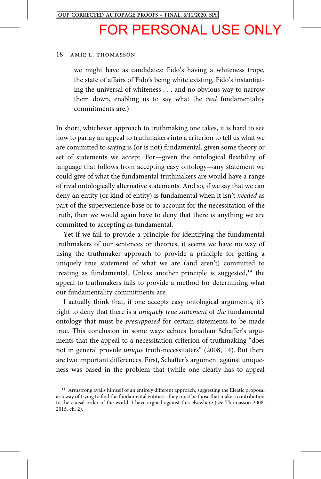### 18 AMIE L. THOMASSON

we might have as candidates: Fido's having a whiteness trope, the state of affairs of Fido's being white existing, Fido's instantiating the universal of whiteness . . . and no obvious way to narrow them down, enabling us to say what the real fundamentality commitments are.)

In short, whichever approach to truthmaking one takes, it is hard to see how to parlay an appeal to truthmakers into a criterion to tell us what we are committed to saying is (or is not) fundamental, given some theory or set of statements we accept. For—given the ontological flexibility of language that follows from accepting easy ontology—any statement we could give of what the fundamental truthmakers are would have a range of rival ontologically alternative statements. And so, if we say that we can deny an entity (or kind of entity) is fundamental when it isn't needed as part of the supervenience base or to account for the necessitation of the truth, then we would again have to deny that there is anything we are committed to accepting as fundamental.

Yet if we fail to provide a principle for identifying the fundamental truthmakers of our sentences or theories, it seems we have no way of using the truthmaker approach to provide a principle for getting a uniquely true statement of what we are (and aren't) committed to treating as fundamental. Unless another principle is suggested,<sup>14</sup> the appeal to truthmakers fails to provide a method for determining what our fundamentality commitments are.

I actually think that, if one accepts easy ontological arguments, it's right to deny that there is a uniquely true statement of the fundamental ontology that must be presupposed for certain statements to be made true. This conclusion in some ways echoes Jonathan Schaffer's arguments that the appeal to a necessitation criterion of truthmaking "does not in general provide unique truth-necessitaters" (2008, 14). But there are two important differences. First, Schaffer's argument against uniqueness was based in the problem that (while one clearly has to appeal

<sup>&</sup>lt;sup>14</sup> Armstrong avails himself of an entirely different approach, suggesting the Eleatic proposal as a way of trying to find the fundamental entities—they must be those that make a contribution to the causal order of the world. I have argued against this elsewhere (see Thomasson 2008; 2015, ch. 2).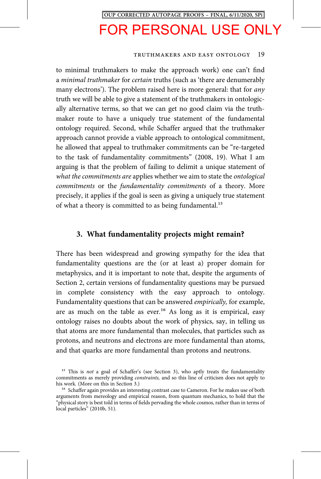# FOR PERSONAL USE ONLY

### TRUTHMAKERS AND EASY ONTOLOGY 19

to minimal truthmakers to make the approach work) one can't find a minimal truthmaker for certain truths (such as 'there are denumerably many electrons'). The problem raised here is more general: that for *any* truth we will be able to give a statement of the truthmakers in ontologically alternative terms, so that we can get no good claim via the truthmaker route to have a uniquely true statement of the fundamental ontology required. Second, while Schaffer argued that the truthmaker approach cannot provide a viable approach to ontological commitment, he allowed that appeal to truthmaker commitments can be "re-targeted to the task of fundamentality commitments" (2008, 19). What I am arguing is that the problem of failing to delimit a unique statement of what the commitments are applies whether we aim to state the ontological commitments or the fundamentality commitments of a theory. More precisely, it applies if the goal is seen as giving a uniquely true statement of what a theory is committed to as being fundamental.<sup>15</sup>

### **3. What fundamentality projects might remain?**

There has been widespread and growing sympathy for the idea that fundamentality questions are the (or at least a) proper domain for metaphysics, and it is important to note that, despite the arguments of Section 2, certain versions of fundamentality questions may be pursued in complete consistency with the easy approach to ontology. Fundamentality questions that can be answered empirically, for example, are as much on the table as ever.<sup>16</sup> As long as it is empirical, easy ontology raises no doubts about the work of physics, say, in telling us that atoms are more fundamental than molecules, that particles such as protons, and neutrons and electrons are more fundamental than atoms, and that quarks are more fundamental than protons and neutrons.

 $15$  This is not a goal of Schaffer's (see Section 3), who aptly treats the fundamentality commitments as merely providing constraints, and so this line of criticism does not apply to his work. (More on this in Section 3.)

<sup>&</sup>lt;sup>16</sup> Schaffer again provides an interesting contrast case to Cameron. For he makes use of both arguments from mereology and empirical reason, from quantum mechanics, to hold that the "physical story is best told in terms of fields pervading the whole cosmos, rather than in terms of local particles" (2010b, 51).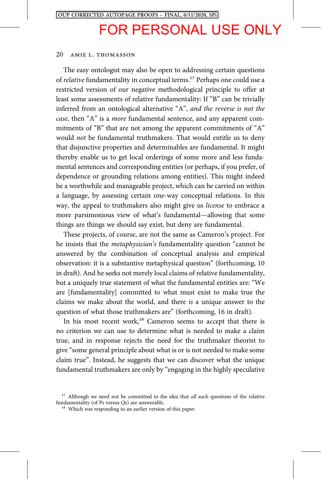### 20 AMIE L. THOMASSON

The easy ontologist may also be open to addressing certain questions of relative fundamentality in conceptual terms.<sup>17</sup> Perhaps one could use a restricted version of our negative methodological principle to offer at least some assessments of relative fundamentality: If "B" can be trivially inferred from an ontological alternative "A", and the reverse is not the case, then "A" is a more fundamental sentence, and any apparent commitments of "B" that are not among the apparent commitments of "A" would not be fundamental truthmakers. That would entitle us to deny that disjunctive properties and determinables are fundamental. It might thereby enable us to get local orderings of some more and less fundamental sentences and corresponding entities (or perhaps, if you prefer, of dependence or grounding relations among entities). This might indeed be a worthwhile and manageable project, which can be carried on within a language, by assessing certain one-way conceptual relations. In this way, the appeal to truthmakers also might give us license to embrace a more parsimonious view of what's fundamental—allowing that some things are things we should say exist, but deny are fundamental.

These projects, of course, are not the same as Cameron's project. For he insists that the metaphysician's fundamentality question "cannot be answered by the combination of conceptual analysis and empirical observation: it is a substantive metaphysical question" (forthcoming, 10 in draft). And he seeks not merely local claims of relative fundamentality, but a uniquely true statement of what the fundamental entities are: "We are [fundamentality] committed to what must exist to make true the claims we make about the world, and there is a unique answer to the question of what those truthmakers are" (forthcoming, 16 in draft).

In his most recent work,<sup>18</sup> Cameron seems to accept that there is no criterion we can use to determine what is needed to make a claim true, and in response rejects the need for the truthmaker theorist to give "some general principle about what is or is not needed to make some claim true". Instead, he suggests that we can discover what the unique fundamental truthmakers are only by "engaging in the highly speculative

 $17$  Although we need not be committed to the idea that all such questions of the relative fundamentality (of Ps versus Qs) are answerable.

<sup>&</sup>lt;sup>18</sup> Which was responding to an earlier version of this paper.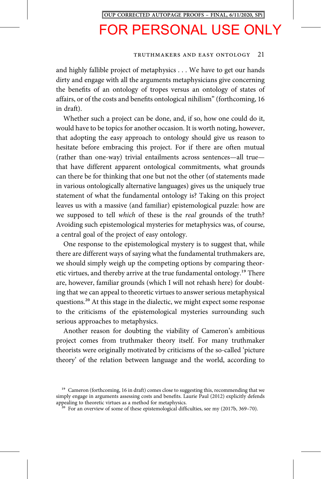# FOR PERSONAL USE ONLY

#### TRUTHMAKERS AND EASY ONTOLOGY 21

and highly fallible project of metaphysics . . . We have to get our hands dirty and engage with all the arguments metaphysicians give concerning the benefits of an ontology of tropes versus an ontology of states of affairs, or of the costs and benefits ontological nihilism" (forthcoming, 16 in draft).

Whether such a project can be done, and, if so, how one could do it, would have to be topics for another occasion. It is worth noting, however, that adopting the easy approach to ontology should give us reason to hesitate before embracing this project. For if there are often mutual (rather than one-way) trivial entailments across sentences—all true that have different apparent ontological commitments, what grounds can there be for thinking that one but not the other (of statements made in various ontologically alternative languages) gives us the uniquely true statement of what the fundamental ontology is? Taking on this project leaves us with a massive (and familiar) epistemological puzzle: how are we supposed to tell which of these is the real grounds of the truth? Avoiding such epistemological mysteries for metaphysics was, of course, a central goal of the project of easy ontology.

One response to the epistemological mystery is to suggest that, while there are different ways of saying what the fundamental truthmakers are, we should simply weigh up the competing options by comparing theoretic virtues, and thereby arrive at the true fundamental ontology.<sup>19</sup> There are, however, familiar grounds (which I will not rehash here) for doubting that we can appeal to theoretic virtues to answer serious metaphysical questions.<sup>20</sup> At this stage in the dialectic, we might expect some response to the criticisms of the epistemological mysteries surrounding such serious approaches to metaphysics.

Another reason for doubting the viability of Cameron's ambitious project comes from truthmaker theory itself. For many truthmaker theorists were originally motivated by criticisms of the so-called 'picture theory' of the relation between language and the world, according to

<sup>&</sup>lt;sup>19</sup> Cameron (forthcoming, 16 in draft) comes close to suggesting this, recommending that we simply engage in arguments assessing costs and benefits. Laurie Paul (2012) explicitly defends appealing to theoretic virtues as a method for metaphysics.

<sup>&</sup>lt;sup>20</sup> For an overview of some of these epistemological difficulties, see my (2017b, 369-70).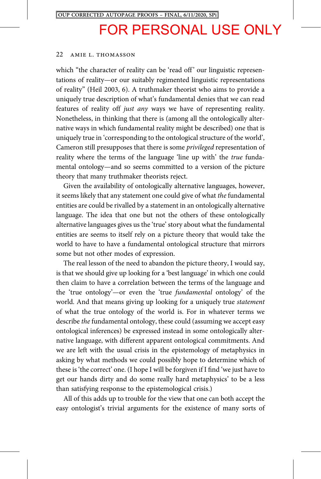#### 22 AMIE L. THOMASSON

which "the character of reality can be 'read off' our linguistic representations of reality—or our suitably regimented linguistic representations of reality" (Heil 2003, 6). A truthmaker theorist who aims to provide a uniquely true description of what's fundamental denies that we can read features of reality off just any ways we have of representing reality. Nonetheless, in thinking that there is (among all the ontologically alternative ways in which fundamental reality might be described) one that is uniquely true in 'corresponding to the ontological structure of the world', Cameron still presupposes that there is some privileged representation of reality where the terms of the language 'line up with' the *true* fundamental ontology—and so seems committed to a version of the picture theory that many truthmaker theorists reject.

Given the availability of ontologically alternative languages, however, it seems likely that any statement one could give of what the fundamental entities are could be rivalled by a statement in an ontologically alternative language. The idea that one but not the others of these ontologically alternative languages gives us the 'true' story about what the fundamental entities are seems to itself rely on a picture theory that would take the world to have to have a fundamental ontological structure that mirrors some but not other modes of expression.

The real lesson of the need to abandon the picture theory, I would say, is that we should give up looking for a 'best language' in which one could then claim to have a correlation between the terms of the language and the 'true ontology'—or even the 'true fundamental ontology' of the world. And that means giving up looking for a uniquely true statement of what the true ontology of the world is. For in whatever terms we describe the fundamental ontology, these could (assuming we accept easy ontological inferences) be expressed instead in some ontologically alternative language, with different apparent ontological commitments. And we are left with the usual crisis in the epistemology of metaphysics in asking by what methods we could possibly hope to determine which of these is 'the correct' one. (I hope I will be forgiven if I find 'we just have to get our hands dirty and do some really hard metaphysics' to be a less than satisfying response to the epistemological crisis.)

All of this adds up to trouble for the view that one can both accept the easy ontologist's trivial arguments for the existence of many sorts of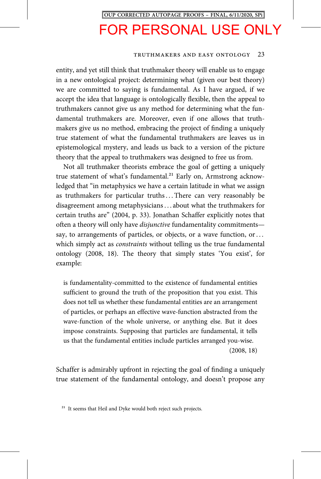# FOR PERSONAL USE ONLY

### TRUTHMAKERS AND EASY ONTOLOGY 23

entity, and yet still think that truthmaker theory will enable us to engage in a new ontological project: determining what (given our best theory) we are committed to saying is fundamental. As I have argued, if we accept the idea that language is ontologically flexible, then the appeal to truthmakers cannot give us any method for determining what the fundamental truthmakers are. Moreover, even if one allows that truthmakers give us no method, embracing the project of finding a uniquely true statement of what the fundamental truthmakers are leaves us in epistemological mystery, and leads us back to a version of the picture theory that the appeal to truthmakers was designed to free us from.

Not all truthmaker theorists embrace the goal of getting a uniquely true statement of what's fundamental.<sup>21</sup> Early on, Armstrong acknowledged that "in metaphysics we have a certain latitude in what we assign as truthmakers for particular truths...There can very reasonably be disagreement among metaphysicians . . . about what the truthmakers for certain truths are" (2004, p. 33). Jonathan Schaffer explicitly notes that often a theory will only have disjunctive fundamentality commitments say, to arrangements of particles, or objects, or a wave function, or... which simply act as *constraints* without telling us the true fundamental ontology (2008, 18). The theory that simply states 'You exist', for example:

is fundamentality-committed to the existence of fundamental entities sufficient to ground the truth of the proposition that you exist. This does not tell us whether these fundamental entities are an arrangement of particles, or perhaps an effective wave-function abstracted from the wave-function of the whole universe, or anything else. But it does impose constraints. Supposing that particles are fundamental, it tells us that the fundamental entities include particles arranged you-wise. (2008, 18)

Schaffer is admirably upfront in rejecting the goal of finding a uniquely true statement of the fundamental ontology, and doesn't propose any

<sup>&</sup>lt;sup>21</sup> It seems that Heil and Dyke would both reject such projects.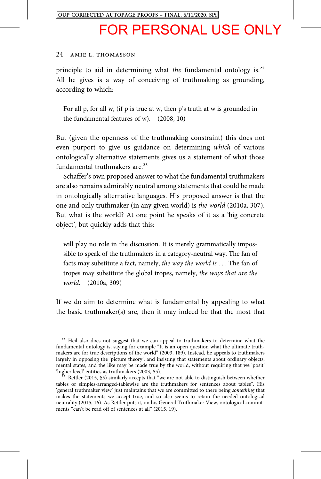### 24 AMIE L. THOMASSON

principle to aid in determining what the fundamental ontology is.<sup>22</sup> All he gives is a way of conceiving of truthmaking as grounding, according to which:

For all p, for all w, (if p is true at w, then p's truth at w is grounded in the fundamental features of w). (2008, 10)

But (given the openness of the truthmaking constraint) this does not even purport to give us guidance on determining which of various ontologically alternative statements gives us a statement of what those fundamental truthmakers are.<sup>23</sup>

Schaffer's own proposed answer to what the fundamental truthmakers are also remains admirably neutral among statements that could be made in ontologically alternative languages. His proposed answer is that the one and only truthmaker (in any given world) is the world (2010a, 307). But what is the world? At one point he speaks of it as a 'big concrete object', but quickly adds that this:

will play no role in the discussion. It is merely grammatically impossible to speak of the truthmakers in a category-neutral way. The fan of facts may substitute a fact, namely, the way the world is . . . The fan of tropes may substitute the global tropes, namely, the ways that are the world. (2010a, 309)

If we do aim to determine what is fundamental by appealing to what the basic truthmaker(s) are, then it may indeed be that the most that

<sup>&</sup>lt;sup>22</sup> Heil also does not suggest that we can appeal to truthmakers to determine what the fundamental ontology is, saying for example "It is an open question what the ultimate truthmakers are for true descriptions of the world" (2003, 189). Instead, he appeals to truthmakers largely in opposing the 'picture theory', and insisting that statements about ordinary objects, mental states, and the like may be made true by the world, without requiring that we 'posit' 'higher level' entities as truthmakers (2003, 55).

 $\frac{1}{23}$  Rettler (2015, §5) similarly accepts that "we are not able to distinguish between whether tables or simples-arranged-tablewise are the truthmakers for sentences about tables". His 'general truthmaker view' just maintains that we are committed to there being something that makes the statements we accept true, and so also seems to retain the needed ontological neutrality (2015, 16). As Rettler puts it, on his General Truthmaker View, ontological commitments "can't be read off of sentences at all" (2015, 19).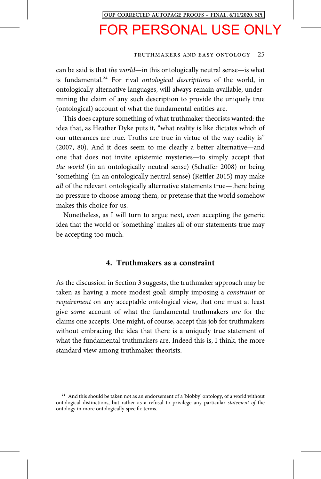# FOR PERSONAL USE ONLY

### TRUTHMAKERS AND EASY ONTOLOGY 25

can be said is that the world—in this ontologically neutral sense—is what is fundamental.<sup>24</sup> For rival ontological descriptions of the world, in ontologically alternative languages, will always remain available, undermining the claim of any such description to provide the uniquely true (ontological) account of what the fundamental entities are.

This does capture something of what truthmaker theorists wanted: the idea that, as Heather Dyke puts it, "what reality is like dictates which of our utterances are true. Truths are true in virtue of the way reality is" (2007, 80). And it does seem to me clearly a better alternative—and one that does not invite epistemic mysteries—to simply accept that the world (in an ontologically neutral sense) (Schaffer 2008) or being 'something' (in an ontologically neutral sense) (Rettler 2015) may make all of the relevant ontologically alternative statements true—there being no pressure to choose among them, or pretense that the world somehow makes this choice for us.

Nonetheless, as I will turn to argue next, even accepting the generic idea that the world or 'something' makes all of our statements true may be accepting too much.

### **4. Truthmakers as a constraint**

As the discussion in Section 3 suggests, the truthmaker approach may be taken as having a more modest goal: simply imposing a constraint or requirement on any acceptable ontological view, that one must at least give some account of what the fundamental truthmakers are for the claims one accepts. One might, of course, accept this job for truthmakers without embracing the idea that there is a uniquely true statement of what the fundamental truthmakers are. Indeed this is, I think, the more standard view among truthmaker theorists.

<sup>&</sup>lt;sup>24</sup> And this should be taken not as an endorsement of a 'blobby' ontology, of a world without ontological distinctions, but rather as a refusal to privilege any particular statement of the ontology in more ontologically specific terms.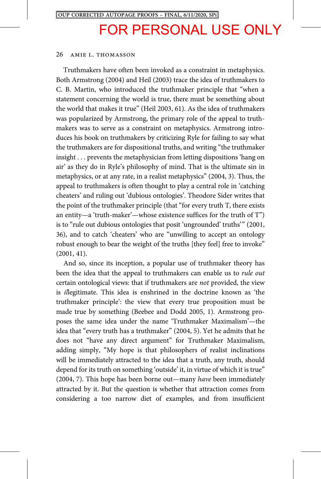### 26 AMIE L. THOMASSON

Truthmakers have often been invoked as a constraint in metaphysics. Both Armstrong (2004) and Heil (2003) trace the idea of truthmakers to C. B. Martin, who introduced the truthmaker principle that "when a statement concerning the world is true, there must be something about the world that makes it true" (Heil 2003, 61). As the idea of truthmakers was popularized by Armstrong, the primary role of the appeal to truthmakers was to serve as a constraint on metaphysics. Armstrong introduces his book on truthmakers by criticizing Ryle for failing to say what the truthmakers are for dispositional truths, and writing "the truthmaker insight . . . prevents the metaphysician from letting dispositions 'hang on air' as they do in Ryle's philosophy of mind. That is the ultimate sin in metaphysics, or at any rate, in a realist metaphysics" (2004, 3). Thus, the appeal to truthmakers is often thought to play a central role in 'catching cheaters' and ruling out 'dubious ontologies'. Theodore Sider writes that the point of the truthmaker principle (that "for every truth T, there exists an entity—a 'truth-maker'—whose existence suffices for the truth of T") is to "rule out dubious ontologies that posit 'ungrounded' truths'" (2001, 36), and to catch 'cheaters' who are "unwilling to accept an ontology robust enough to bear the weight of the truths [they feel] free to invoke" (2001, 41).

And so, since its inception, a popular use of truthmaker theory has been the idea that the appeal to truthmakers can enable us to *rule out* certain ontological views: that if truthmakers are not provided, the view is illegitimate. This idea is enshrined in the doctrine known as 'the truthmaker principle': the view that every true proposition must be made true by something (Beebee and Dodd 2005, 1). Armstrong proposes the same idea under the name 'Truthmaker Maximalism'—the idea that "every truth has a truthmaker" (2004, 5). Yet he admits that he does not "have any direct argument" for Truthmaker Maximalism, adding simply, "My hope is that philosophers of realist inclinations will be immediately attracted to the idea that a truth, any truth, should depend for its truth on something 'outside' it, in virtue of which it is true" (2004, 7). This hope has been borne out—many have been immediately attracted by it. But the question is whether that attraction comes from considering a too narrow diet of examples, and from insufficient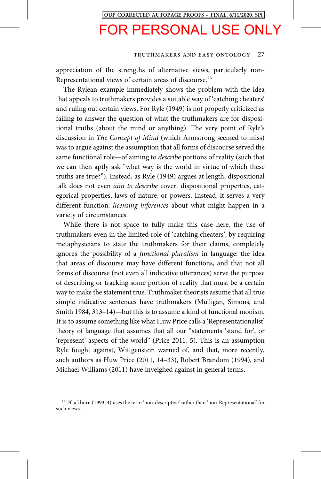# FOR PERSONAL USE ONLY

#### TRUTHMAKERS AND EASY ONTOLOGY 27

appreciation of the strengths of alternative views, particularly non-Representational views of certain areas of discourse.<sup>25</sup>

The Rylean example immediately shows the problem with the idea that appeals to truthmakers provides a suitable way of 'catching cheaters' and ruling out certain views. For Ryle (1949) is not properly criticized as failing to answer the question of what the truthmakers are for dispositional truths (about the mind or anything). The very point of Ryle's discussion in The Concept of Mind (which Armstrong seemed to miss) was to argue against the assumption that all forms of discourse served the same functional role—of aiming to describe portions of reality (such that we can then aptly ask "what way is the world in virtue of which these truths are true?"). Instead, as Ryle (1949) argues at length, dispositional talk does not even aim to describe covert dispositional properties, categorical properties, laws of nature, or powers. Instead, it serves a very different function: licensing inferences about what might happen in a variety of circumstances.

While there is not space to fully make this case here, the use of truthmakers even in the limited role of 'catching cheaters', by requiring metaphysicians to state the truthmakers for their claims, completely ignores the possibility of a functional pluralism in language: the idea that areas of discourse may have different functions, and that not all forms of discourse (not even all indicative utterances) serve the purpose of describing or tracking some portion of reality that must be a certain way to make the statement true. Truthmaker theorists assume that all true simple indicative sentences have truthmakers (Mulligan, Simons, and Smith 1984, 313–14)—but this is to assume a kind of functional monism. It is to assume something like what Huw Price calls a 'Representationalist' theory of language that assumes that all our "statements 'stand for', or 'represent' aspects of the world" (Price 2011, 5). This is an assumption Ryle fought against, Wittgenstein warned of, and that, more recently, such authors as Huw Price (2011, 14–33), Robert Brandom (1994), and Michael Williams (2011) have inveighed against in general terms.

<sup>&</sup>lt;sup>25</sup> Blackburn (1993, 4) uses the term 'non-descriptive' rather than 'non-Representational' for such views.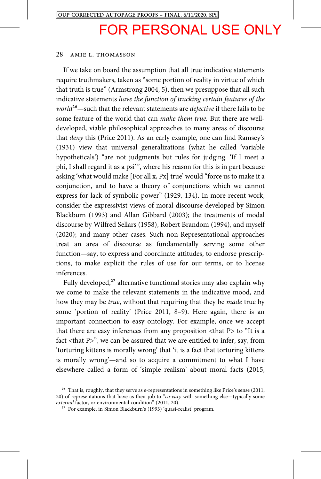### 28 AMIE L. THOMASSON

If we take on board the assumption that all true indicative statements require truthmakers, taken as "some portion of reality in virtue of which that truth is true" (Armstrong 2004, 5), then we presuppose that all such indicative statements have the function of tracking certain features of the world<sup>26</sup>—such that the relevant statements are *defective* if there fails to be some feature of the world that can make them true. But there are welldeveloped, viable philosophical approaches to many areas of discourse that deny this (Price 2011). As an early example, one can find Ramsey's (1931) view that universal generalizations (what he called 'variable hypotheticals') "are not judgments but rules for judging. 'If I meet a phi, I shall regard it as a psi'", where his reason for this is in part because asking 'what would make [For all x, Px] true' would "force us to make it a conjunction, and to have a theory of conjunctions which we cannot express for lack of symbolic power" (1929, 134). In more recent work, consider the expressivist views of moral discourse developed by Simon Blackburn (1993) and Allan Gibbard (2003); the treatments of modal discourse by Wilfred Sellars (1958), Robert Brandom (1994), and myself (2020); and many other cases. Such non-Representational approaches treat an area of discourse as fundamentally serving some other function—say, to express and coordinate attitudes, to endorse prescriptions, to make explicit the rules of use for our terms, or to license inferences.

Fully developed,<sup>27</sup> alternative functional stories may also explain why we come to make the relevant statements in the indicative mood, and how they may be *true*, without that requiring that they be *made* true by some 'portion of reality' (Price 2011, 8–9). Here again, there is an important connection to easy ontology. For example, once we accept that there are easy inferences from any proposition <that P> to "It is a fact **that P>"**, we can be assured that we are entitled to infer, say, from 'torturing kittens is morally wrong' that 'it is a fact that torturing kittens is morally wrong'—and so to acquire a commitment to what I have elsewhere called a form of 'simple realism' about moral facts (2015,

<sup>&</sup>lt;sup>26</sup> That is, roughly, that they serve as e-representations in something like Price's sense (2011, 20) of representations that have as their job to "co-vary with something else—typically some external factor, or environmental condition" (2011, 20).

<sup>&</sup>lt;sup>27</sup> For example, in Simon Blackburn's (1993) 'quasi-realist' program.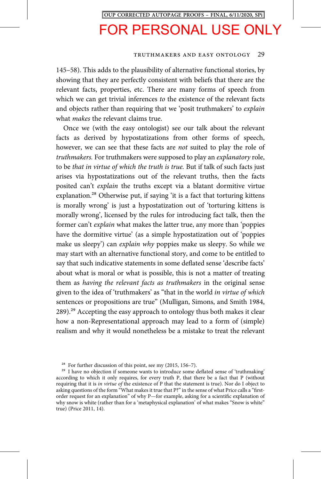# FOR PERSONAL USE ONLY

### TRUTHMAKERS AND EASY ONTOLOGY 29

145–58). This adds to the plausibility of alternative functional stories, by showing that they are perfectly consistent with beliefs that there are the relevant facts, properties, etc. There are many forms of speech from which we can get trivial inferences to the existence of the relevant facts and objects rather than requiring that we 'posit truthmakers' to explain what *makes* the relevant claims true.

Once we (with the easy ontologist) see our talk about the relevant facts as derived by hypostatizations from other forms of speech, however, we can see that these facts are not suited to play the role of truthmakers. For truthmakers were supposed to play an explanatory role, to be that in virtue of which the truth is true. But if talk of such facts just arises via hypostatizations out of the relevant truths, then the facts posited can't explain the truths except via a blatant dormitive virtue explanation.<sup>28</sup> Otherwise put, if saying 'it is a fact that torturing kittens is morally wrong' is just a hypostatization out of 'torturing kittens is morally wrong', licensed by the rules for introducing fact talk, then the former can't explain what makes the latter true, any more than 'poppies have the dormitive virtue' (as a simple hypostatization out of 'poppies make us sleepy') can *explain why* poppies make us sleepy. So while we may start with an alternative functional story, and come to be entitled to say that such indicative statements in some deflated sense 'describe facts' about what is moral or what is possible, this is not a matter of treating them as having the relevant facts as truthmakers in the original sense given to the idea of 'truthmakers' as "that in the world in virtue of which sentences or propositions are true" (Mulligan, Simons, and Smith 1984, 289).<sup>29</sup> Accepting the easy approach to ontology thus both makes it clear how a non-Representational approach may lead to a form of (simple) realism and why it would nonetheless be a mistake to treat the relevant

 $28$  For further discussion of this point, see my (2015, 156–7).

<sup>&</sup>lt;sup>29</sup> I have no objection if someone wants to introduce some deflated sense of 'truthmaking' according to which it only requires, for every truth P, that there be a fact that P (without requiring that it is in virtue of the existence of P that the statement is true). Nor do I object to asking questions of the form "What makes it true that P?" in the sense of what Price calls a "firstorder request for an explanation" of why P—for example, asking for a scientific explanation of why snow is white (rather than for a 'metaphysical explanation' of what makes "Snow is white" true) (Price 2011, 14).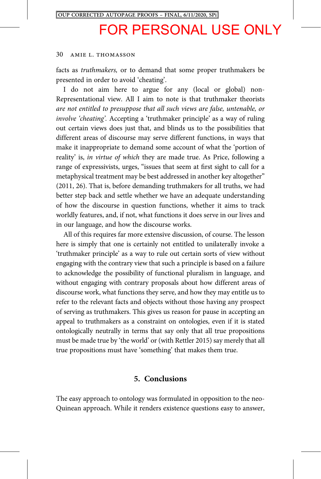### 30 AMIE L. THOMASSON

facts as truthmakers, or to demand that some proper truthmakers be presented in order to avoid 'cheating'.

I do not aim here to argue for any (local or global) non-Representational view. All I aim to note is that truthmaker theorists are not entitled to presuppose that all such views are false, untenable, or involve 'cheating'. Accepting a 'truthmaker principle' as a way of ruling out certain views does just that, and blinds us to the possibilities that different areas of discourse may serve different functions, in ways that make it inappropriate to demand some account of what the 'portion of reality' is, in virtue of which they are made true. As Price, following a range of expressivists, urges, "issues that seem at first sight to call for a metaphysical treatment may be best addressed in another key altogether" (2011, 26). That is, before demanding truthmakers for all truths, we had better step back and settle whether we have an adequate understanding of how the discourse in question functions, whether it aims to track worldly features, and, if not, what functions it does serve in our lives and in our language, and how the discourse works.

All of this requires far more extensive discussion, of course. The lesson here is simply that one is certainly not entitled to unilaterally invoke a 'truthmaker principle' as a way to rule out certain sorts of view without engaging with the contrary view that such a principle is based on a failure to acknowledge the possibility of functional pluralism in language, and without engaging with contrary proposals about how different areas of discourse work, what functions they serve, and how they may entitle us to refer to the relevant facts and objects without those having any prospect of serving as truthmakers. This gives us reason for pause in accepting an appeal to truthmakers as a constraint on ontologies, even if it is stated ontologically neutrally in terms that say only that all true propositions must be made true by 'the world' or (with Rettler 2015) say merely that all true propositions must have 'something' that makes them true.

### **5. Conclusions**

The easy approach to ontology was formulated in opposition to the neo-Quinean approach. While it renders existence questions easy to answer,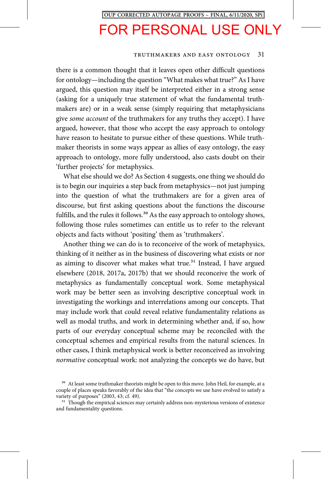### TRUTHMAKERS AND EASY ONTOLOGY 31

there is a common thought that it leaves open other difficult questions for ontology—including the question "What makes what true?" As I have argued, this question may itself be interpreted either in a strong sense (asking for a uniquely true statement of what the fundamental truthmakers are) or in a weak sense (simply requiring that metaphysicians give some account of the truthmakers for any truths they accept). I have argued, however, that those who accept the easy approach to ontology have reason to hesitate to pursue either of these questions. While truthmaker theorists in some ways appear as allies of easy ontology, the easy approach to ontology, more fully understood, also casts doubt on their 'further projects' for metaphysics.

What else should we do? As Section 4 suggests, one thing we should do is to begin our inquiries a step back from metaphysics—not just jumping into the question of what the truthmakers are for a given area of discourse, but first asking questions about the functions the discourse fulfills, and the rules it follows.<sup>30</sup> As the easy approach to ontology shows, following those rules sometimes can entitle us to refer to the relevant objects and facts without 'positing' them as 'truthmakers'.

Another thing we can do is to reconceive of the work of metaphysics, thinking of it neither as in the business of discovering what exists or nor as aiming to discover what makes what true.<sup>31</sup> Instead, I have argued elsewhere (2018, 2017a, 2017b) that we should reconceive the work of metaphysics as fundamentally conceptual work. Some metaphysical work may be better seen as involving descriptive conceptual work in investigating the workings and interrelations among our concepts. That may include work that could reveal relative fundamentality relations as well as modal truths, and work in determining whether and, if so, how parts of our everyday conceptual scheme may be reconciled with the conceptual schemes and empirical results from the natural sciences. In other cases, I think metaphysical work is better reconceived as involving normative conceptual work: not analyzing the concepts we do have, but

<sup>&</sup>lt;sup>30</sup> At least some truthmaker theorists might be open to this move. John Heil, for example, at a couple of places speaks favorably of the idea that "the concepts we use have evolved to satisfy a variety of purposes" (2003, 43; cf. 49).

<sup>&</sup>lt;sup>31</sup> Though the empirical sciences may certainly address non-mysterious versions of existence and fundamentality questions.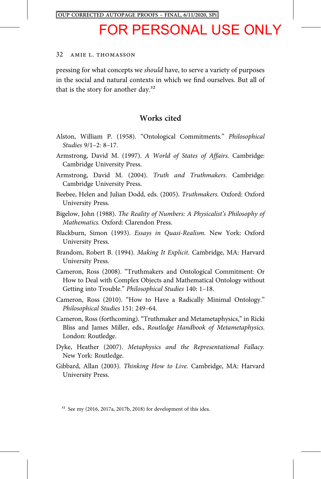### 32 AMIE L. THOMASSON

pressing for what concepts we should have, to serve a variety of purposes in the social and natural contexts in which we find ourselves. But all of that is the story for another day.<sup>32</sup>

### **Works cited**

- Alston, William P. (1958). "Ontological Commitments." Philosophical Studies 9/1–2: 8–17.
- Armstrong, David M. (1997). A World of States of Affairs. Cambridge: Cambridge University Press.
- Armstrong, David M. (2004). Truth and Truthmakers. Cambridge: Cambridge University Press.
- Beebee, Helen and Julian Dodd, eds. (2005). Truthmakers. Oxford: Oxford University Press.
- Bigelow, John (1988). The Reality of Numbers: A Physicalist's Philosophy of Mathematics. Oxford: Clarendon Press.
- Blackburn, Simon (1993). Essays in Quasi-Realism. New York: Oxford University Press.
- Brandom, Robert B. (1994). Making It Explicit. Cambridge, MA: Harvard University Press.
- Cameron, Ross (2008). "Truthmakers and Ontological Commitment: Or How to Deal with Complex Objects and Mathematical Ontology without Getting into Trouble." Philosophical Studies 140: 1–18.
- Cameron, Ross (2010). "How to Have a Radically Minimal Ontology." Philosophical Studies 151: 249–64.
- Cameron, Ross (forthcoming). "Truthmaker and Metametaphysics," in Ricki Bliss and James Miller, eds., Routledge Handbook of Metametaphysics. London: Routledge.
- Dyke, Heather (2007). Metaphysics and the Representational Fallacy. New York: Routledge.
- Gibbard, Allan (2003). Thinking How to Live. Cambridge, MA: Harvard University Press.

³² See my (2016, 2017a, 2017b, 2018) for development of this idea.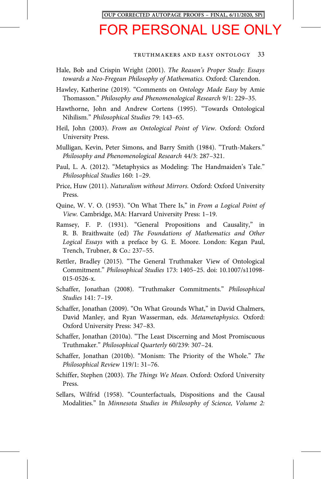## FOR PERSONAL USE ONLY

#### TRUTHMAKERS AND EASY ONTOLOGY 33

- Hale, Bob and Crispin Wright (2001). The Reason's Proper Study: Essays towards a Neo-Fregean Philosophy of Mathematics. Oxford: Clarendon.
- Hawley, Katherine (2019). "Comments on Ontology Made Easy by Amie Thomasson." Philosophy and Phenomenological Research 9/1: 229–35.
- Hawthorne, John and Andrew Cortens (1995). "Towards Ontological Nihilism." Philosophical Studies 79: 143–65.
- Heil, John (2003). From an Ontological Point of View. Oxford: Oxford University Press.
- Mulligan, Kevin, Peter Simons, and Barry Smith (1984). "Truth-Makers." Philosophy and Phenomenological Research 44/3: 287–321.
- Paul, L. A. (2012). "Metaphysics as Modeling: The Handmaiden's Tale." Philosophical Studies 160: 1–29.
- Price, Huw (2011). Naturalism without Mirrors. Oxford: Oxford University Press.
- Quine, W. V. O. (1953). "On What There Is," in From a Logical Point of View. Cambridge, MA: Harvard University Press: 1–19.
- Ramsey, F. P. (1931). "General Propositions and Causality," in R. B. Braithwaite (ed) The Foundations of Mathematics and Other Logical Essays with a preface by G. E. Moore. London: Kegan Paul, Trench, Trubner, & Co.: 237–55.
- Rettler, Bradley (2015). "The General Truthmaker View of Ontological Commitment." Philosophical Studies 173: 1405–25. doi: 10.1007/s11098- 015-0526-x.
- Schaffer, Jonathan (2008). "Truthmaker Commitments." Philosophical Studies 141: 7–19.
- Schaffer, Jonathan (2009). "On What Grounds What," in David Chalmers, David Manley, and Ryan Wasserman, eds. Metametaphysics. Oxford: Oxford University Press: 347–83.
- Schaffer, Jonathan (2010a). "The Least Discerning and Most Promiscuous Truthmaker." Philosophical Quarterly 60/239: 307–24.
- Schaffer, Jonathan (2010b). "Monism: The Priority of the Whole." The Philosophical Review 119/1: 31–76.
- Schiffer, Stephen (2003). The Things We Mean. Oxford: Oxford University Press.
- Sellars, Wilfrid (1958). "Counterfactuals, Dispositions and the Causal Modalities." In Minnesota Studies in Philosophy of Science, Volume 2: